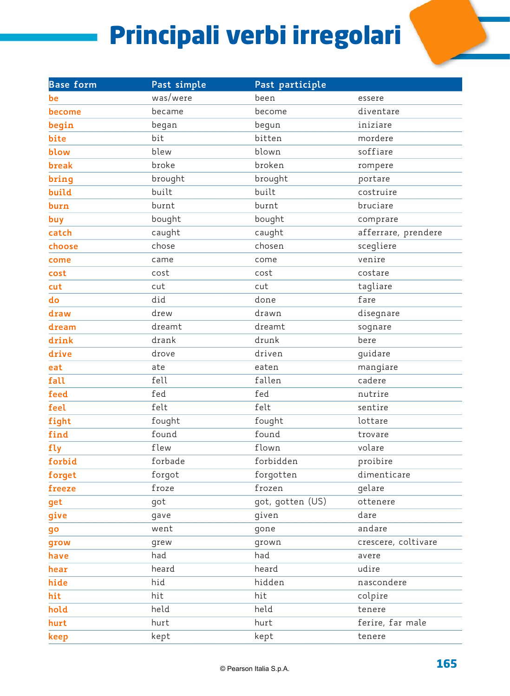## Principali verbi irregolari

| <b>Base form</b> | Past simple | Past participle  |                     |
|------------------|-------------|------------------|---------------------|
| be               | was/were    | been             | essere              |
| become           | became      | become           | diventare           |
| begin            | began       | begun            | iniziare            |
| bite             | bit         | bitten           | mordere             |
| blow             | blew        | blown            | soffiare            |
| break            | broke       | broken           | rompere             |
| bring            | brought     | brought          | portare             |
| build            | built       | built            | costruire           |
| burn             | burnt       | burnt            | bruciare            |
| buy              | bought      | bought           | comprare            |
| catch            | caught      | caught           | afferrare, prendere |
| choose           | chose       | chosen           | scegliere           |
| come             | came        | come             | venire              |
| cost             | cost        | cost             | costare             |
| cut              | cut         | cut              | tagliare            |
| do               | did         | done             | fare                |
| draw             | drew        | drawn            | disegnare           |
| dream            | dreamt      | dreamt           | sognare             |
| drink            | drank       | drunk            | bere                |
| drive            | drove       | driven           | guidare             |
| eat              | ate         | eaten            | mangiare            |
| fall             | fell        | fallen           | cadere              |
| feed             | fed         | fed              | nutrire             |
| feel             | felt        | felt             | sentire             |
| fight            | fought      | fought           | lottare             |
| find             | found       | found            | trovare             |
| fly              | flew        | flown            | volare              |
| forbid           | forbade     | forbidden        | proibire            |
| forget           | forgot      | forgotten        | dimenticare         |
| freeze           | froze       | frozen           | gelare              |
| get              | got         | got, gotten (US) | ottenere            |
| give             | gave        | given            | dare                |
| go               | went        | gone             | andare              |
| grow             | grew        | grown            | crescere, coltivare |
| have             | had         | had              | avere               |
| hear             | heard       | heard            | udire               |
| hide             | hid         | hidden           | nascondere          |
| hit              | hit         | hit              | colpire             |
| hold             | held        | held             | tenere              |
| hurt             | hurt        | hurt             | ferire, far male    |
| keep             | kept        | kept             | tenere              |